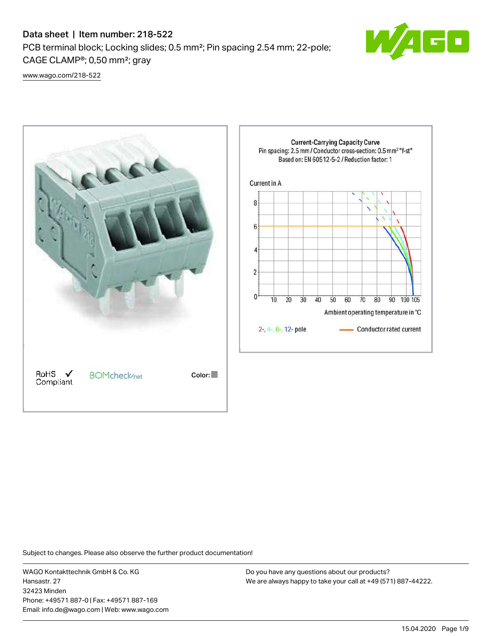# Data sheet | Item number: 218-522

PCB terminal block; Locking slides; 0.5 mm²; Pin spacing 2.54 mm; 22-pole; CAGE CLAMP®; 0,50 mm²; gray



[www.wago.com/218-522](http://www.wago.com/218-522)



Subject to changes. Please also observe the further product documentation!

WAGO Kontakttechnik GmbH & Co. KG Hansastr. 27 32423 Minden Phone: +49571 887-0 | Fax: +49571 887-169 Email: info.de@wago.com | Web: www.wago.com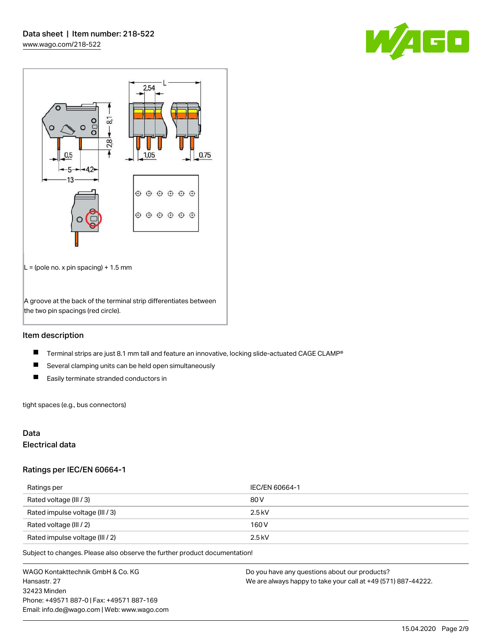



## Item description

- $\blacksquare$ Terminal strips are just 8.1 mm tall and feature an innovative, locking slide-actuated CAGE CLAMP®
- $\blacksquare$ Several clamping units can be held open simultaneously
- $\blacksquare$ Easily terminate stranded conductors in

tight spaces (e.g., bus connectors)

## Data

## Electrical data

## Ratings per IEC/EN 60664-1

| Ratings per                     | IEC/EN 60664-1 |
|---------------------------------|----------------|
| Rated voltage (III / 3)         | 80 V           |
| Rated impulse voltage (III / 3) | $2.5$ kV       |
| Rated voltage (III / 2)         | 160 V          |
| Rated impulse voltage (III / 2) | $2.5$ kV       |

Subject to changes. Please also observe the further product documentation!

WAGO Kontakttechnik GmbH & Co. KG Hansastr. 27 32423 Minden Phone: +49571 887-0 | Fax: +49571 887-169 Email: info.de@wago.com | Web: www.wago.com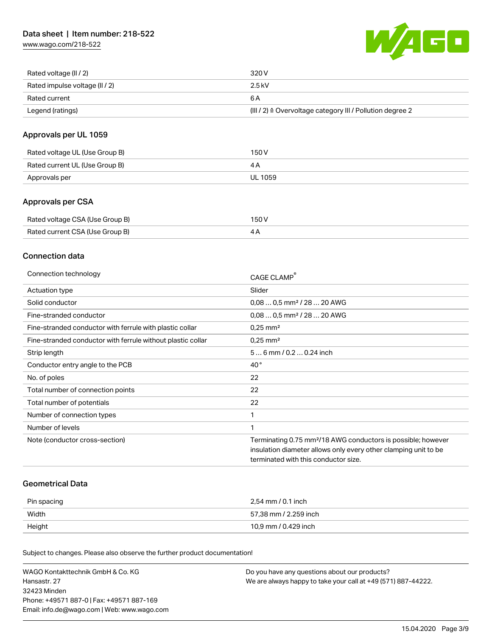[www.wago.com/218-522](http://www.wago.com/218-522)



| Rated voltage (II / 2)         | 320 V                                                                 |
|--------------------------------|-----------------------------------------------------------------------|
| Rated impulse voltage (II / 2) | 2.5 kV                                                                |
| Rated current                  | 6 A                                                                   |
| Legend (ratings)               | $(III / 2)$ $\triangle$ Overvoltage category III / Pollution degree 2 |

## Approvals per UL 1059

| Rated voltage UL (Use Group B) | 150 V   |
|--------------------------------|---------|
| Rated current UL (Use Group B) | 4 A     |
| Approvals per                  | UL 1059 |

## Approvals per CSA

| Rated voltage CSA (Use Group B) | 150 V |
|---------------------------------|-------|
| Rated current CSA (Use Group B) | 4Α    |

## Connection data

| Connection technology                                       | CAGE CLAMP                                                               |
|-------------------------------------------------------------|--------------------------------------------------------------------------|
| Actuation type                                              | Slider                                                                   |
| Solid conductor                                             | $0.080.5$ mm <sup>2</sup> / 28  20 AWG                                   |
| Fine-stranded conductor                                     | $0.080.5$ mm <sup>2</sup> / 28  20 AWG                                   |
| Fine-stranded conductor with ferrule with plastic collar    | $0.25$ mm <sup>2</sup>                                                   |
| Fine-stranded conductor with ferrule without plastic collar | $0.25$ mm <sup>2</sup>                                                   |
| Strip length                                                | 56 mm / 0.2 0.24 inch                                                    |
| Conductor entry angle to the PCB                            | $40^{\circ}$                                                             |
| No. of poles                                                | 22                                                                       |
| Total number of connection points                           | 22                                                                       |
| Total number of potentials                                  | 22                                                                       |
| Number of connection types                                  | 1                                                                        |
| Number of levels                                            |                                                                          |
| Note (conductor cross-section)                              | Terminating 0.75 mm <sup>2</sup> /18 AWG conductors is possible; however |
|                                                             | insulation diameter allows only every other clamping unit to be          |
|                                                             | terminated with this conductor size.                                     |

## Geometrical Data

| Pin spacing | 2,54 mm / 0.1 inch    |
|-------------|-----------------------|
| Width       | 57,38 mm / 2.259 inch |
| Height      | 10,9 mm / 0.429 inch  |

Subject to changes. Please also observe the further product documentation!

| WAGO Kontakttechnik GmbH & Co. KG           | Do you have any questions about our products?                 |
|---------------------------------------------|---------------------------------------------------------------|
| Hansastr. 27                                | We are always happy to take your call at +49 (571) 887-44222. |
| 32423 Minden                                |                                                               |
| Phone: +49571 887-01 Fax: +49571 887-169    |                                                               |
| Email: info.de@wago.com   Web: www.wago.com |                                                               |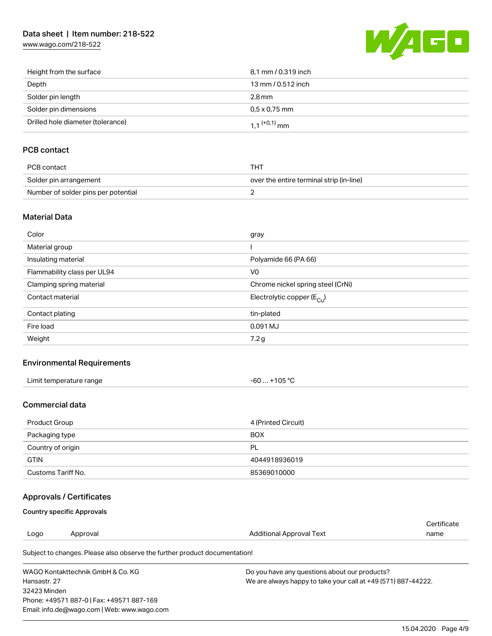# Data sheet | Item number: 218-522

[www.wago.com/218-522](http://www.wago.com/218-522)



| Height from the surface           | 8,1 mm / 0.319 inch        |
|-----------------------------------|----------------------------|
| Depth                             | 13 mm / 0.512 inch         |
| Solder pin length                 | $2.8 \,\mathrm{mm}$        |
| Solder pin dimensions             | $0.5 \times 0.75$ mm       |
| Drilled hole diameter (tolerance) | $1.1$ <sup>(+0,1)</sup> mm |

# PCB contact

| PCB contact                         | тнт                                      |
|-------------------------------------|------------------------------------------|
| Solder pin arrangement              | over the entire terminal strip (in-line) |
| Number of solder pins per potential |                                          |

## Material Data

| Color                       | gray                                  |
|-----------------------------|---------------------------------------|
| Material group              |                                       |
| Insulating material         | Polyamide 66 (PA 66)                  |
| Flammability class per UL94 | V <sub>0</sub>                        |
| Clamping spring material    | Chrome nickel spring steel (CrNi)     |
| Contact material            | Electrolytic copper $(E_{\text{Cl}})$ |
| Contact plating             | tin-plated                            |
| Fire load                   | 0.091 MJ                              |
| Weight                      | 7.2 g                                 |

## Environmental Requirements

| Limit temperature range | +105 $^{\circ}$ C |
|-------------------------|-------------------|
|                         | -60               |
|                         |                   |

## Commercial data

| Product Group      | 4 (Printed Circuit) |
|--------------------|---------------------|
| Packaging type     | <b>BOX</b>          |
| Country of origin  | PL                  |
| <b>GTIN</b>        | 4044918936019       |
| Customs Tariff No. | 85369010000         |

# Approvals / Certificates

## Country specific Approvals

Phone: +49571 887-0 | Fax: +49571 887-169 Email: info.de@wago.com | Web: www.wago.com

| Logo                                                                       | Approval | Additional Approval Text                                      | Certificate<br>name |  |  |
|----------------------------------------------------------------------------|----------|---------------------------------------------------------------|---------------------|--|--|
| Subject to changes. Please also observe the further product documentation! |          |                                                               |                     |  |  |
| WAGO Kontakttechnik GmbH & Co. KG                                          |          | Do you have any questions about our products?                 |                     |  |  |
| Hansastr, 27                                                               |          | We are always happy to take your call at +49 (571) 887-44222. |                     |  |  |
| 32423 Minden                                                               |          |                                                               |                     |  |  |

15.04.2020 Page 4/9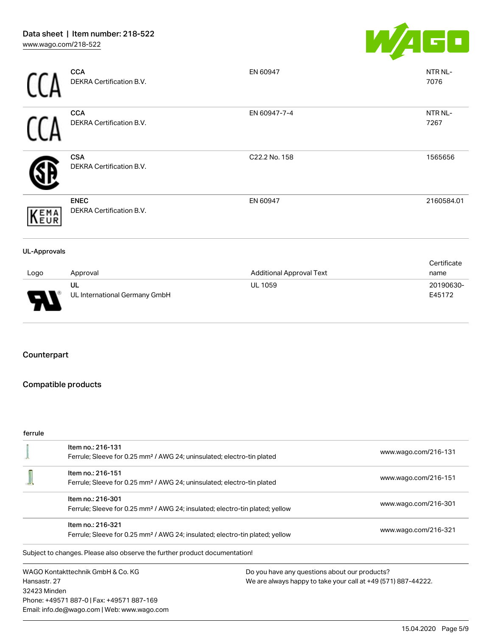

|                     | <b>CCA</b><br>DEKRA Certification B.V.  | EN 60947                        | NTR NL-<br>7076     |
|---------------------|-----------------------------------------|---------------------------------|---------------------|
|                     | <b>CCA</b><br>DEKRA Certification B.V.  | EN 60947-7-4                    | NTR NL-<br>7267     |
|                     | <b>CSA</b><br>DEKRA Certification B.V.  | C22.2 No. 158                   | 1565656             |
| KEMA                | <b>ENEC</b><br>DEKRA Certification B.V. | EN 60947                        | 2160584.01          |
| <b>UL-Approvals</b> |                                         |                                 |                     |
| Logo                | Approval                                | <b>Additional Approval Text</b> | Certificate<br>name |
| J                   | UL<br>UL International Germany GmbH     | <b>UL 1059</b>                  | 20190630-<br>E45172 |

## Counterpart

## Compatible products

#### ferrule

|              | Item no.: 216-131                                                                        |                                                               | www.wago.com/216-131 |  |
|--------------|------------------------------------------------------------------------------------------|---------------------------------------------------------------|----------------------|--|
|              | Ferrule; Sleeve for 0.25 mm <sup>2</sup> / AWG 24; uninsulated; electro-tin plated       |                                                               |                      |  |
|              | Item no.: 216-151                                                                        |                                                               | www.wago.com/216-151 |  |
|              | Ferrule; Sleeve for 0.25 mm <sup>2</sup> / AWG 24; uninsulated; electro-tin plated       |                                                               |                      |  |
|              | Item no.: 216-301                                                                        |                                                               |                      |  |
|              | Ferrule; Sleeve for 0.25 mm <sup>2</sup> / AWG 24; insulated; electro-tin plated; yellow | www.wago.com/216-301                                          |                      |  |
|              | Item no.: 216-321                                                                        |                                                               |                      |  |
|              | Ferrule; Sleeve for 0.25 mm <sup>2</sup> / AWG 24; insulated; electro-tin plated; yellow | www.wago.com/216-321                                          |                      |  |
|              | Subject to changes. Please also observe the further product documentation!               |                                                               |                      |  |
|              | WAGO Kontakttechnik GmbH & Co. KG                                                        | Do you have any questions about our products?                 |                      |  |
| Hansastr, 27 |                                                                                          | We are always happy to take your call at +49 (571) 887-44222. |                      |  |
| 32423 Minden |                                                                                          |                                                               |                      |  |
|              | Phone: +49571 887-0   Fax: +49571 887-169                                                |                                                               |                      |  |
|              | Email: info.de@wago.com   Web: www.wago.com                                              |                                                               |                      |  |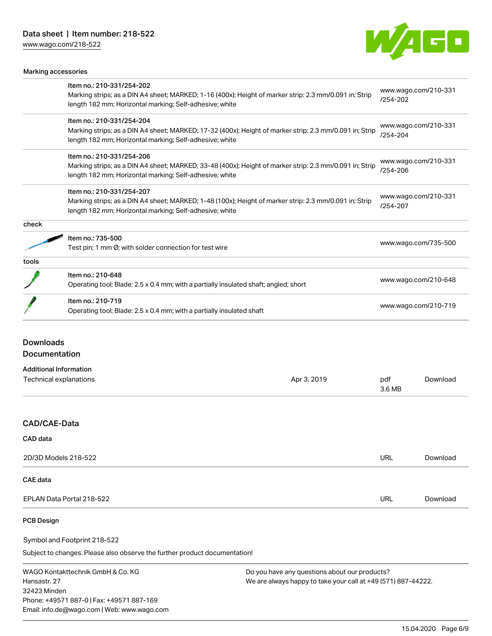[www.wago.com/218-522](http://www.wago.com/218-522)



|                        | Marking accessories                                                                                                                                                                             |             |                                  |                                  |  |
|------------------------|-------------------------------------------------------------------------------------------------------------------------------------------------------------------------------------------------|-------------|----------------------------------|----------------------------------|--|
|                        | Item no.: 210-331/254-202                                                                                                                                                                       |             |                                  |                                  |  |
|                        | Marking strips; as a DIN A4 sheet; MARKED; 1-16 (400x); Height of marker strip: 2.3 mm/0.091 in; Strip<br>length 182 mm; Horizontal marking; Self-adhesive; white                               |             | www.wago.com/210-331<br>/254-202 |                                  |  |
|                        | Item no.: 210-331/254-204                                                                                                                                                                       |             |                                  |                                  |  |
|                        | Marking strips; as a DIN A4 sheet; MARKED; 17-32 (400x); Height of marker strip: 2.3 mm/0.091 in; Strip<br>length 182 mm; Horizontal marking; Self-adhesive; white                              |             |                                  | www.wago.com/210-331<br>/254-204 |  |
|                        | Item no.: 210-331/254-206<br>Marking strips; as a DIN A4 sheet; MARKED; 33-48 (400x); Height of marker strip: 2.3 mm/0.091 in; Strip<br>length 182 mm; Horizontal marking; Self-adhesive; white |             | www.wago.com/210-331<br>/254-206 |                                  |  |
|                        |                                                                                                                                                                                                 |             |                                  |                                  |  |
|                        | Item no.: 210-331/254-207<br>Marking strips; as a DIN A4 sheet; MARKED; 1-48 (100x); Height of marker strip: 2.3 mm/0.091 in; Strip<br>length 182 mm; Horizontal marking; Self-adhesive; white  |             | www.wago.com/210-331<br>/254-207 |                                  |  |
|                        |                                                                                                                                                                                                 |             |                                  |                                  |  |
| check                  |                                                                                                                                                                                                 |             |                                  |                                  |  |
|                        | Item no.: 735-500                                                                                                                                                                               |             |                                  |                                  |  |
|                        | Test pin; 1 mm Ø; with solder connection for test wire                                                                                                                                          |             | www.wago.com/735-500             |                                  |  |
| tools                  |                                                                                                                                                                                                 |             |                                  |                                  |  |
|                        | Item no.: 210-648<br>Operating tool; Blade: 2.5 x 0.4 mm; with a partially insulated shaft; angled; short                                                                                       |             |                                  | www.wago.com/210-648             |  |
|                        | Item no.: 210-719<br>Operating tool; Blade: 2.5 x 0.4 mm; with a partially insulated shaft                                                                                                      |             | www.wago.com/210-719             |                                  |  |
| <b>Downloads</b>       | Documentation                                                                                                                                                                                   |             |                                  |                                  |  |
|                        | <b>Additional Information</b>                                                                                                                                                                   |             |                                  |                                  |  |
| Technical explanations |                                                                                                                                                                                                 | Apr 3, 2019 | pdf<br>3.6 MB                    | Download                         |  |
| CAD/CAE-Data           |                                                                                                                                                                                                 |             |                                  |                                  |  |
| <b>CAD</b> data        |                                                                                                                                                                                                 |             |                                  |                                  |  |
|                        |                                                                                                                                                                                                 |             |                                  |                                  |  |
|                        | 2D/3D Models 218-522                                                                                                                                                                            |             | <b>URL</b>                       | Download                         |  |

#### CAE data

EPLAN Data Portal 218-522 URL [Download](https://www.wago.com/de/d/EPLAN_URLS_218-522)

## PCB Design

Symbol and Footprint 218-522

Subject to changes. Please also observe the further product documentation!

WAGO Kontakttechnik GmbH & Co. KG Hansastr. 27 32423 Minden Phone: +49571 887-0 | Fax: +49571 887-169 Email: info.de@wago.com | Web: www.wago.com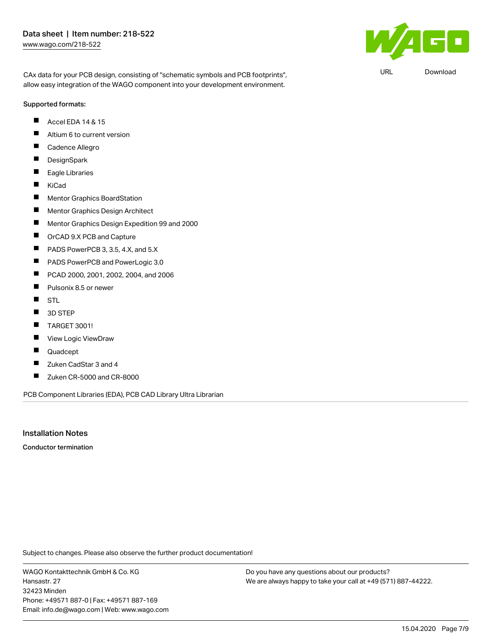CAx data for your PCB design, consisting of "schematic symbols and PCB footprints", allow easy integration of the WAGO component into your development environment.

#### Supported formats:

- Accel EDA 14 & 15 П
- $\blacksquare$ Altium 6 to current version
- Г Cadence Allegro
- $\blacksquare$ **DesignSpark**
- $\blacksquare$ Eagle Libraries
- $\blacksquare$ KiCad
- $\blacksquare$ Mentor Graphics BoardStation
- П Mentor Graphics Design Architect
- $\blacksquare$ Mentor Graphics Design Expedition 99 and 2000
- $\blacksquare$ OrCAD 9.X PCB and Capture
- П PADS PowerPCB 3, 3.5, 4.X, and 5.X
- $\blacksquare$ PADS PowerPCB and PowerLogic 3.0
- П PCAD 2000, 2001, 2002, 2004, and 2006
- $\blacksquare$ Pulsonix 8.5 or newer
- $\blacksquare$ STL
- $\blacksquare$ 3D STEP
- П TARGET 3001!
- П View Logic ViewDraw
- $\blacksquare$ Quadcept
- $\blacksquare$ Zuken CadStar 3 and 4
- $\blacksquare$ Zuken CR-5000 and CR-8000

PCB Component Libraries (EDA), PCB CAD Library Ultra Librarian

## Installation Notes

Conductor termination

Subject to changes. Please also observe the further product documentation!

WAGO Kontakttechnik GmbH & Co. KG Hansastr. 27 32423 Minden Phone: +49571 887-0 | Fax: +49571 887-169 Email: info.de@wago.com | Web: www.wago.com Do you have any questions about our products? We are always happy to take your call at +49 (571) 887-44222.



URL [Download](https://www.wago.com/de/d/UltraLibrarian_URLS_218-522)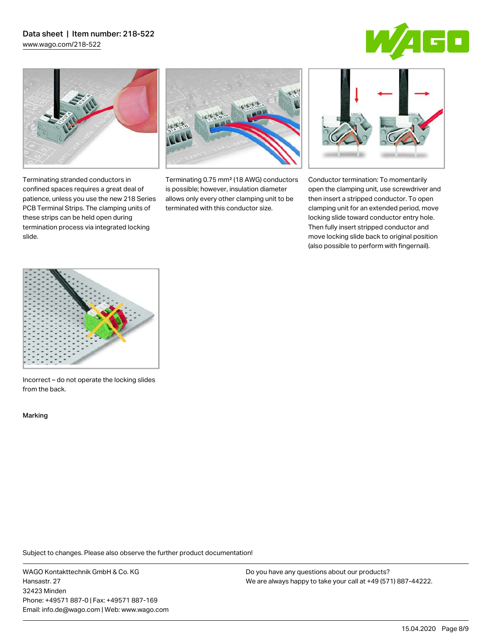# Data sheet | Item number: 218-522

[www.wago.com/218-522](http://www.wago.com/218-522)





Terminating stranded conductors in confined spaces requires a great deal of patience, unless you use the new 218 Series PCB Terminal Strips. The clamping units of these strips can be held open during termination process via integrated locking

Terminating 0.75 mm² (18 AWG) conductors is possible; however, insulation diameter allows only every other clamping unit to be terminated with this conductor size.



Conductor termination: To momentarily open the clamping unit, use screwdriver and then insert a stripped conductor. To open clamping unit for an extended period, move locking slide toward conductor entry hole. Then fully insert stripped conductor and move locking slide back to original position (also possible to perform with fingernail).



Incorrect – do not operate the locking slides from the back.

Marking

slide.

Subject to changes. Please also observe the further product documentation!

WAGO Kontakttechnik GmbH & Co. KG Hansastr. 27 32423 Minden Phone: +49571 887-0 | Fax: +49571 887-169 Email: info.de@wago.com | Web: www.wago.com